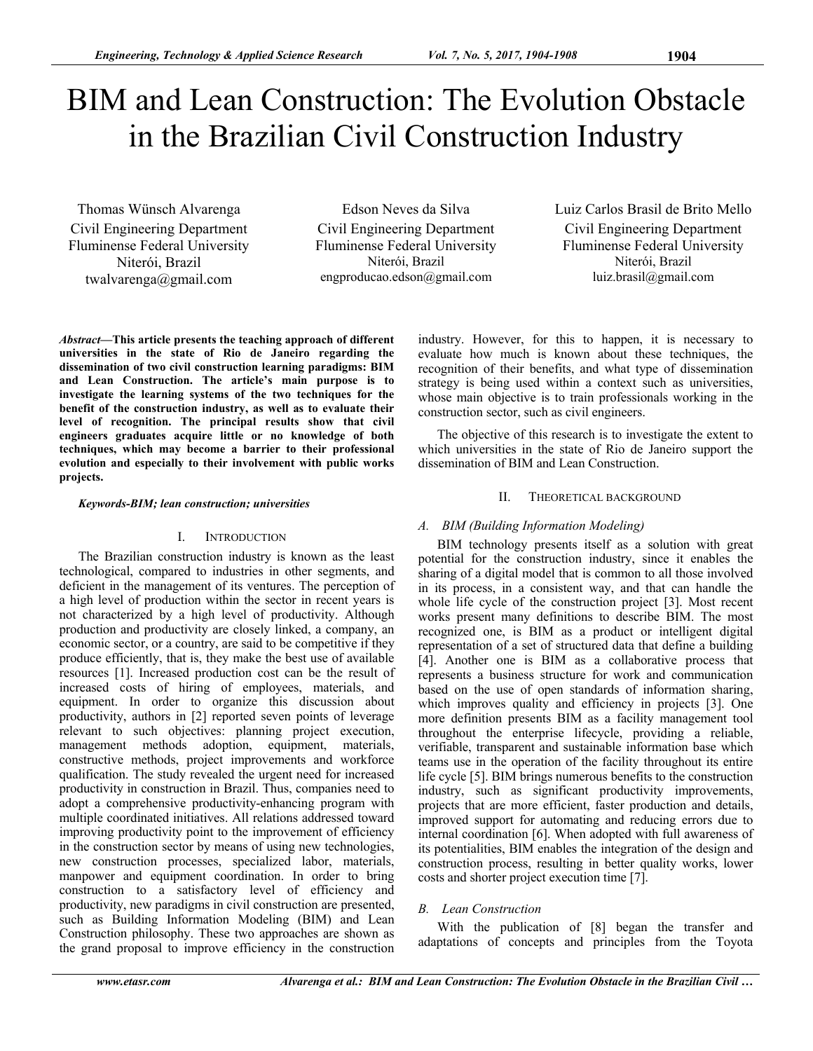# BIM and Lean Construction: The Evolution Obstacle in the Brazilian Civil Construction Industry

Thomas Wünsch Alvarenga Civil Engineering Department Fluminense Federal University Niterói, Brazil twalvarenga@gmail.com

Edson Neves da Silva Civil Engineering Department Fluminense Federal University Niterói, Brazil engproducao.edson@gmail.com

Luiz Carlos Brasil de Brito Mello Civil Engineering Department Fluminense Federal University Niterói, Brazil luiz.brasil@gmail.com

*Abstract***—This article presents the teaching approach of different universities in the state of Rio de Janeiro regarding the dissemination of two civil construction learning paradigms: BIM and Lean Construction. The article's main purpose is to investigate the learning systems of the two techniques for the benefit of the construction industry, as well as to evaluate their level of recognition. The principal results show that civil engineers graduates acquire little or no knowledge of both techniques, which may become a barrier to their professional evolution and especially to their involvement with public works projects.** 

*Keywords-BIM; lean construction; universities* 

#### I. INTRODUCTION

The Brazilian construction industry is known as the least technological, compared to industries in other segments, and deficient in the management of its ventures. The perception of a high level of production within the sector in recent years is not characterized by a high level of productivity. Although production and productivity are closely linked, a company, an economic sector, or a country, are said to be competitive if they produce efficiently, that is, they make the best use of available resources [1]. Increased production cost can be the result of increased costs of hiring of employees, materials, and equipment. In order to organize this discussion about productivity, authors in [2] reported seven points of leverage relevant to such objectives: planning project execution, management methods adoption, equipment, materials, constructive methods, project improvements and workforce qualification. The study revealed the urgent need for increased productivity in construction in Brazil. Thus, companies need to adopt a comprehensive productivity-enhancing program with multiple coordinated initiatives. All relations addressed toward improving productivity point to the improvement of efficiency in the construction sector by means of using new technologies, new construction processes, specialized labor, materials, manpower and equipment coordination. In order to bring construction to a satisfactory level of efficiency and productivity, new paradigms in civil construction are presented, such as Building Information Modeling (BIM) and Lean Construction philosophy. These two approaches are shown as the grand proposal to improve efficiency in the construction

industry. However, for this to happen, it is necessary to evaluate how much is known about these techniques, the recognition of their benefits, and what type of dissemination strategy is being used within a context such as universities, whose main objective is to train professionals working in the construction sector, such as civil engineers.

The objective of this research is to investigate the extent to which universities in the state of Rio de Janeiro support the dissemination of BIM and Lean Construction.

## II. THEORETICAL BACKGROUND

### *A. BIM (Building Information Modeling)*

BIM technology presents itself as a solution with great potential for the construction industry, since it enables the sharing of a digital model that is common to all those involved in its process, in a consistent way, and that can handle the whole life cycle of the construction project [3]. Most recent works present many definitions to describe BIM. The most recognized one, is BIM as a product or intelligent digital representation of a set of structured data that define a building [4]. Another one is BIM as a collaborative process that represents a business structure for work and communication based on the use of open standards of information sharing, which improves quality and efficiency in projects [3]. One more definition presents BIM as a facility management tool throughout the enterprise lifecycle, providing a reliable, verifiable, transparent and sustainable information base which teams use in the operation of the facility throughout its entire life cycle [5]. BIM brings numerous benefits to the construction industry, such as significant productivity improvements, projects that are more efficient, faster production and details, improved support for automating and reducing errors due to internal coordination [6]. When adopted with full awareness of its potentialities, BIM enables the integration of the design and construction process, resulting in better quality works, lower costs and shorter project execution time [7].

### *B. Lean Construction*

With the publication of [8] began the transfer and adaptations of concepts and principles from the Toyota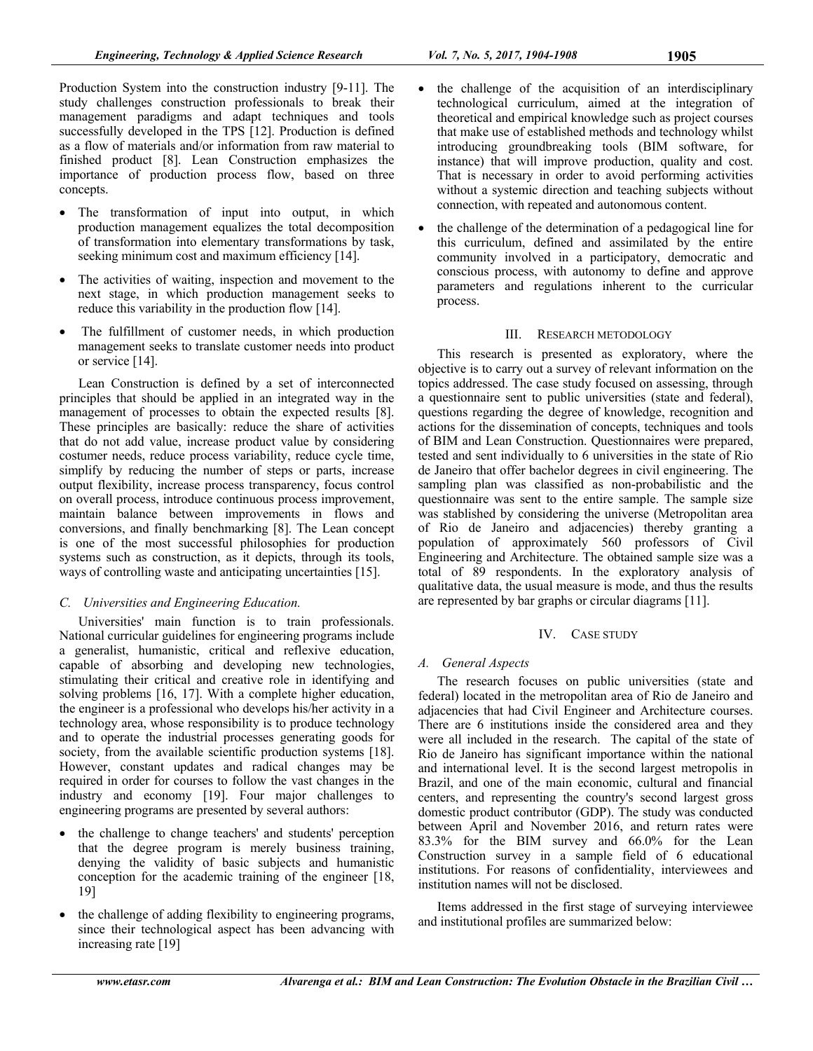Production System into the construction industry [9-11]. The study challenges construction professionals to break their management paradigms and adapt techniques and tools successfully developed in the TPS [12]. Production is defined as a flow of materials and/or information from raw material to finished product [8]. Lean Construction emphasizes the importance of production process flow, based on three concepts.

- The transformation of input into output, in which production management equalizes the total decomposition of transformation into elementary transformations by task, seeking minimum cost and maximum efficiency [14].
- The activities of waiting, inspection and movement to the next stage, in which production management seeks to reduce this variability in the production flow [14].
- The fulfillment of customer needs, in which production management seeks to translate customer needs into product or service [14].

Lean Construction is defined by a set of interconnected principles that should be applied in an integrated way in the management of processes to obtain the expected results [8]. These principles are basically: reduce the share of activities that do not add value, increase product value by considering costumer needs, reduce process variability, reduce cycle time, simplify by reducing the number of steps or parts, increase output flexibility, increase process transparency, focus control on overall process, introduce continuous process improvement, maintain balance between improvements in flows and conversions, and finally benchmarking [8]. The Lean concept is one of the most successful philosophies for production systems such as construction, as it depicts, through its tools, ways of controlling waste and anticipating uncertainties [15].

# *C. Universities and Engineering Education.*

Universities' main function is to train professionals. National curricular guidelines for engineering programs include a generalist, humanistic, critical and reflexive education, capable of absorbing and developing new technologies, stimulating their critical and creative role in identifying and solving problems [16, 17]. With a complete higher education, the engineer is a professional who develops his/her activity in a technology area, whose responsibility is to produce technology and to operate the industrial processes generating goods for society, from the available scientific production systems [18]. However, constant updates and radical changes may be required in order for courses to follow the vast changes in the industry and economy [19]. Four major challenges to engineering programs are presented by several authors:

- the challenge to change teachers' and students' perception that the degree program is merely business training, denying the validity of basic subjects and humanistic conception for the academic training of the engineer [18, 19]
- the challenge of adding flexibility to engineering programs, since their technological aspect has been advancing with increasing rate [19]
- the challenge of the acquisition of an interdisciplinary technological curriculum, aimed at the integration of theoretical and empirical knowledge such as project courses that make use of established methods and technology whilst introducing groundbreaking tools (BIM software, for instance) that will improve production, quality and cost. That is necessary in order to avoid performing activities without a systemic direction and teaching subjects without connection, with repeated and autonomous content.
- the challenge of the determination of a pedagogical line for this curriculum, defined and assimilated by the entire community involved in a participatory, democratic and conscious process, with autonomy to define and approve parameters and regulations inherent to the curricular process.

# III. RESEARCH METODOLOGY

This research is presented as exploratory, where the objective is to carry out a survey of relevant information on the topics addressed. The case study focused on assessing, through a questionnaire sent to public universities (state and federal), questions regarding the degree of knowledge, recognition and actions for the dissemination of concepts, techniques and tools of BIM and Lean Construction. Questionnaires were prepared, tested and sent individually to 6 universities in the state of Rio de Janeiro that offer bachelor degrees in civil engineering. The sampling plan was classified as non-probabilistic and the questionnaire was sent to the entire sample. The sample size was stablished by considering the universe (Metropolitan area of Rio de Janeiro and adjacencies) thereby granting a population of approximately 560 professors of Civil Engineering and Architecture. The obtained sample size was a total of 89 respondents. In the exploratory analysis of qualitative data, the usual measure is mode, and thus the results are represented by bar graphs or circular diagrams [11].

# IV. CASE STUDY

# *A. General Aspects*

The research focuses on public universities (state and federal) located in the metropolitan area of Rio de Janeiro and adjacencies that had Civil Engineer and Architecture courses. There are 6 institutions inside the considered area and they were all included in the research. The capital of the state of Rio de Janeiro has significant importance within the national and international level. It is the second largest metropolis in Brazil, and one of the main economic, cultural and financial centers, and representing the country's second largest gross domestic product contributor (GDP). The study was conducted between April and November 2016, and return rates were 83.3% for the BIM survey and 66.0% for the Lean Construction survey in a sample field of 6 educational institutions. For reasons of confidentiality, interviewees and institution names will not be disclosed.

Items addressed in the first stage of surveying interviewee and institutional profiles are summarized below: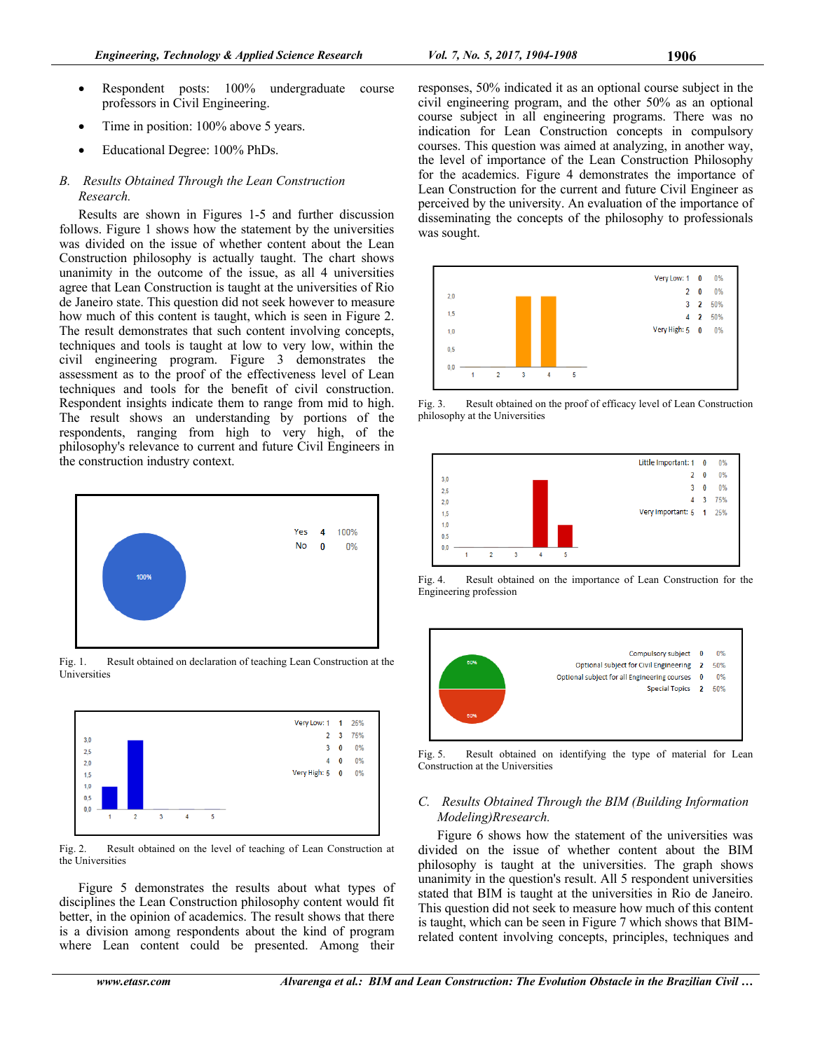- Respondent posts: 100% undergraduate course professors in Civil Engineering.
- Time in position: 100% above 5 years.
- Educational Degree: 100% PhDs.

# *B. Results Obtained Through the Lean Construction Research.*

Results are shown in Figures 1-5 and further discussion follows. Figure 1 shows how the statement by the universities was divided on the issue of whether content about the Lean Construction philosophy is actually taught. The chart shows unanimity in the outcome of the issue, as all 4 universities agree that Lean Construction is taught at the universities of Rio de Janeiro state. This question did not seek however to measure how much of this content is taught, which is seen in Figure 2. The result demonstrates that such content involving concepts, techniques and tools is taught at low to very low, within the civil engineering program. Figure 3 demonstrates the assessment as to the proof of the effectiveness level of Lean techniques and tools for the benefit of civil construction. Respondent insights indicate them to range from mid to high. The result shows an understanding by portions of the respondents, ranging from high to very high, of the philosophy's relevance to current and future Civil Engineers in the construction industry context.



Fig. 1. Result obtained on declaration of teaching Lean Construction at the Universities



Fig. 2. Result obtained on the level of teaching of Lean Construction at the Universities

Figure 5 demonstrates the results about what types of disciplines the Lean Construction philosophy content would fit better, in the opinion of academics. The result shows that there is a division among respondents about the kind of program where Lean content could be presented. Among their

responses, 50% indicated it as an optional course subject in the civil engineering program, and the other 50% as an optional course subject in all engineering programs. There was no indication for Lean Construction concepts in compulsory courses. This question was aimed at analyzing, in another way, the level of importance of the Lean Construction Philosophy for the academics. Figure 4 demonstrates the importance of Lean Construction for the current and future Civil Engineer as perceived by the university. An evaluation of the importance of disseminating the concepts of the philosophy to professionals was sought.



Fig. 3. Result obtained on the proof of efficacy level of Lean Construction philosophy at the Universities



Fig. 4. Result obtained on the importance of Lean Construction for the Engineering profession



Fig. 5. Result obtained on identifying the type of material for Lean Construction at the Universities

## *C. Results Obtained Through the BIM (Building Information Modeling)Rresearch.*

Figure 6 shows how the statement of the universities was divided on the issue of whether content about the BIM philosophy is taught at the universities. The graph shows unanimity in the question's result. All 5 respondent universities stated that BIM is taught at the universities in Rio de Janeiro. This question did not seek to measure how much of this content is taught, which can be seen in Figure 7 which shows that BIMrelated content involving concepts, principles, techniques and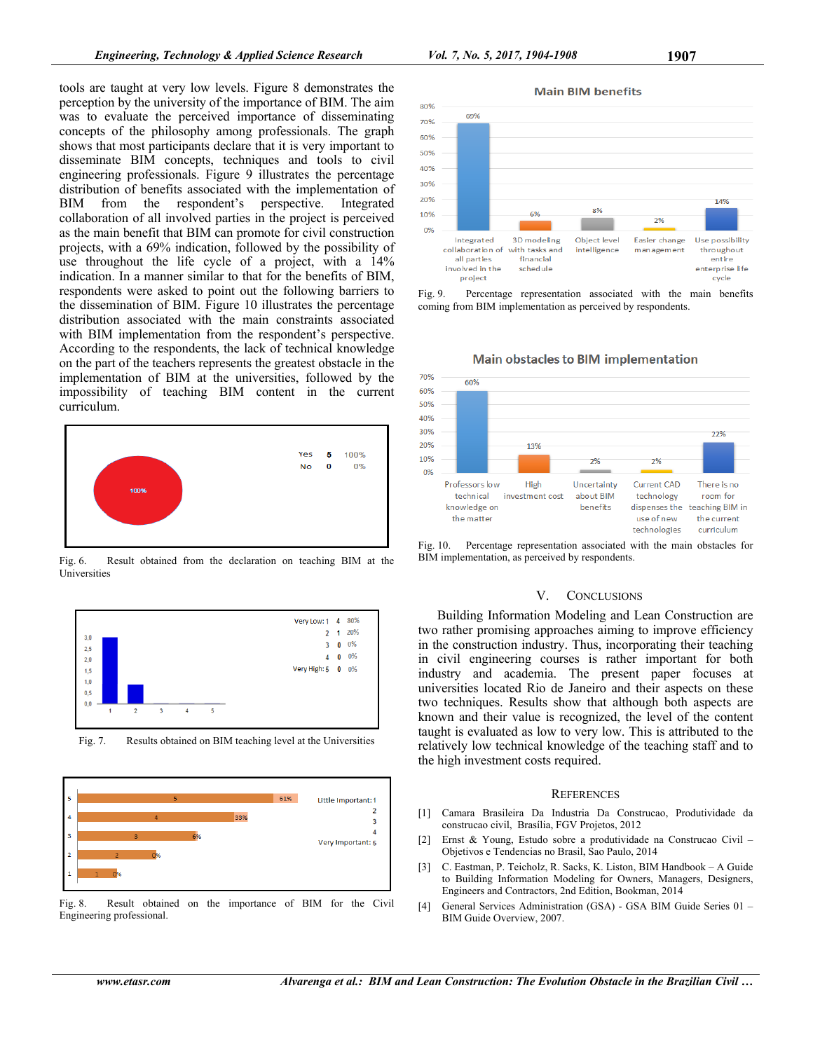tools are taught at very low levels. Figure 8 demonstrates the perception by the university of the importance of BIM. The aim was to evaluate the perceived importance of disseminating concepts of the philosophy among professionals. The graph shows that most participants declare that it is very important to disseminate BIM concepts, techniques and tools to civil engineering professionals. Figure 9 illustrates the percentage distribution of benefits associated with the implementation of BIM from the respondent's perspective. Integrated BIM from the respondent's perspective. Integrated collaboration of all involved parties in the project is perceived as the main benefit that BIM can promote for civil construction projects, with a 69% indication, followed by the possibility of use throughout the life cycle of a project, with a 14% indication. In a manner similar to that for the benefits of BIM, respondents were asked to point out the following barriers to the dissemination of BIM. Figure 10 illustrates the percentage distribution associated with the main constraints associated with BIM implementation from the respondent's perspective. According to the respondents, the lack of technical knowledge on the part of the teachers represents the greatest obstacle in the implementation of BIM at the universities, followed by the impossibility of teaching BIM content in the current curriculum.



Fig. 6. Result obtained from the declaration on teaching BIM at the Universities



Fig. 7. Results obtained on BIM teaching level at the Universities



Fig. 8. Result obtained on the importance of BIM for the Civil Engineering professional.



Fig. 9. Percentage representation associated with the main benefits coming from BIM implementation as perceived by respondents.



Fig. 10. Percentage representation associated with the main obstacles for BIM implementation, as perceived by respondents.

#### V. CONCLUSIONS

Building Information Modeling and Lean Construction are two rather promising approaches aiming to improve efficiency in the construction industry. Thus, incorporating their teaching in civil engineering courses is rather important for both industry and academia. The present paper focuses at universities located Rio de Janeiro and their aspects on these two techniques. Results show that although both aspects are known and their value is recognized, the level of the content taught is evaluated as low to very low. This is attributed to the relatively low technical knowledge of the teaching staff and to the high investment costs required.

#### **REFERENCES**

- [1] Camara Brasileira Da Industria Da Construcao, Produtividade da construcao civil, Brasília, FGV Projetos, 2012
- [2] Ernst & Young, Estudo sobre a produtividade na Construcao Civil Objetivos e Tendencias no Brasil, Sao Paulo, 2014
- [3] C. Eastman, P. Teicholz, R. Sacks, K. Liston, BIM Handbook A Guide to Building Information Modeling for Owners, Managers, Designers, Engineers and Contractors, 2nd Edition, Bookman, 2014
- [4] General Services Administration (GSA) GSA BIM Guide Series 01 BIM Guide Overview, 2007.